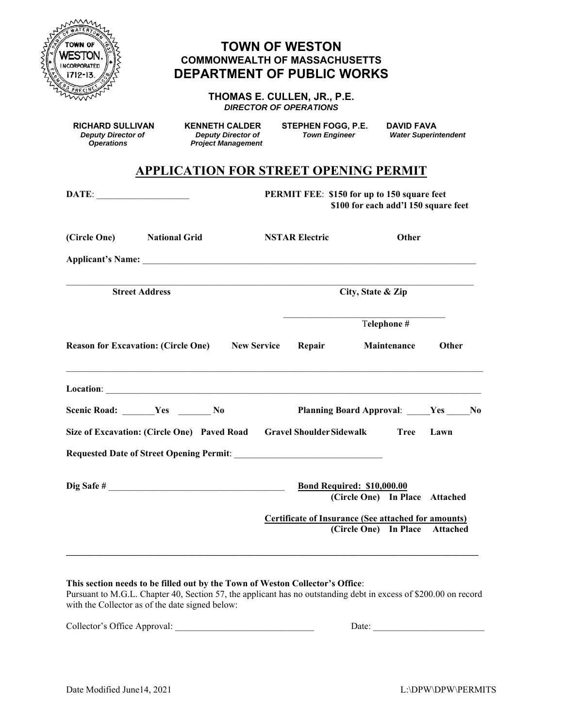

# **TOWN OF WESTON COMMONWEALTH OF MASSACHUSETTS DEPARTMENT OF PUBLIC WORKS**

**THOMAS E. CULLEN, JR., P.E.**  *DIRECTOR OF OPERATIONS* 

**RICHARD SULLIVAN KENNETH CALDER STEPHEN FOGG, P.E. DAVID FAVA**<br>Deputy Director of Deputy Director of Town Engineer Water Superir

 *Deputy Director of Deputy Director of Town Engineer Water Superintendent Project Management* 

# **APPLICATION FOR STREET OPENING PERMIT**

|                                                                      | PERMIT FEE: \$150 for up to 150 square feet<br>\$100 for each add'l 150 square feet |                                                                                              |                     |       |
|----------------------------------------------------------------------|-------------------------------------------------------------------------------------|----------------------------------------------------------------------------------------------|---------------------|-------|
| (Circle One) National Grid                                           | <b>NSTAR Electric</b>                                                               |                                                                                              | Other               |       |
|                                                                      |                                                                                     |                                                                                              |                     |       |
| <b>Street Address</b>                                                |                                                                                     | City, State & Zip                                                                            |                     |       |
|                                                                      |                                                                                     | Telephone #                                                                                  |                     |       |
| <b>Reason for Excavation: (Circle One)</b> New Service               | Repair                                                                              | Maintenance                                                                                  |                     | Other |
|                                                                      |                                                                                     |                                                                                              |                     |       |
| Scenic Road: ______Yes _________ No                                  |                                                                                     | Planning Board Approval: Ves No                                                              |                     |       |
| Size of Excavation: (Circle One) Paved Road Gravel Shoulder Sidewalk |                                                                                     |                                                                                              | <b>Tree</b><br>Lawn |       |
|                                                                      |                                                                                     |                                                                                              |                     |       |
| Dig Safe #                                                           |                                                                                     | <b>Bond Required: \$10,000.00</b><br>(Circle One) In Place Attached                          |                     |       |
|                                                                      |                                                                                     | <b>Certificate of Insurance (See attached for amounts)</b><br>(Circle One) In Place Attached |                     |       |

# **This section needs to be filled out by the Town of Weston Collector's Office**:

Pursuant to M.G.L. Chapter 40, Section 57, the applicant has no outstanding debt in excess of \$200.00 on record with the Collector as of the date signed below:

| Collector's Office Approval:<br>. . |  |
|-------------------------------------|--|
|                                     |  |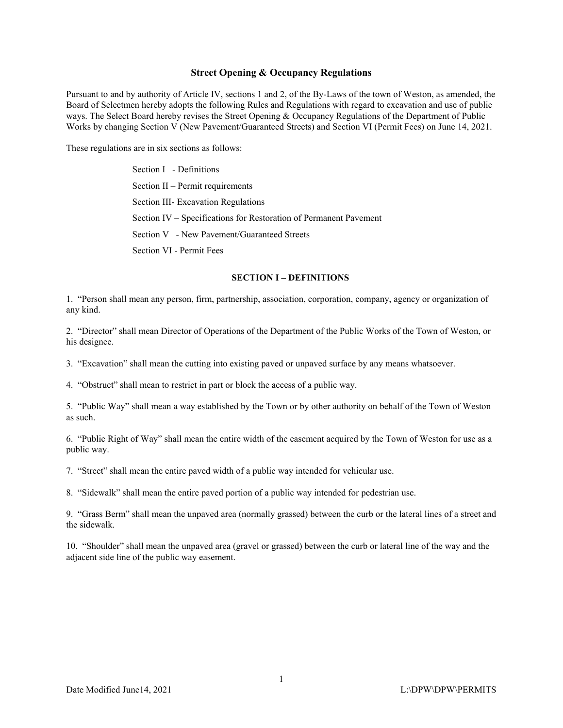### **Street Opening & Occupancy Regulations**

Pursuant to and by authority of Article IV, sections 1 and 2, of the By-Laws of the town of Weston, as amended, the Board of Selectmen hereby adopts the following Rules and Regulations with regard to excavation and use of public ways. The Select Board hereby revises the Street Opening & Occupancy Regulations of the Department of Public Works by changing Section V (New Pavement/Guaranteed Streets) and Section VI (Permit Fees) on June 14, 2021.

These regulations are in six sections as follows:

 Section I - Definitions Section II – Permit requirements Section III- Excavation Regulations Section IV – Specifications for Restoration of Permanent Pavement Section V - New Pavement/Guaranteed Streets Section VI - Permit Fees

#### **SECTION I – DEFINITIONS**

1. "Person shall mean any person, firm, partnership, association, corporation, company, agency or organization of any kind.

2. "Director" shall mean Director of Operations of the Department of the Public Works of the Town of Weston, or his designee.

3. "Excavation" shall mean the cutting into existing paved or unpaved surface by any means whatsoever.

4. "Obstruct" shall mean to restrict in part or block the access of a public way.

5. "Public Way" shall mean a way established by the Town or by other authority on behalf of the Town of Weston as such.

6. "Public Right of Way" shall mean the entire width of the easement acquired by the Town of Weston for use as a public way.

7. "Street" shall mean the entire paved width of a public way intended for vehicular use.

8. "Sidewalk" shall mean the entire paved portion of a public way intended for pedestrian use.

9. "Grass Berm" shall mean the unpaved area (normally grassed) between the curb or the lateral lines of a street and the sidewalk.

10. "Shoulder" shall mean the unpaved area (gravel or grassed) between the curb or lateral line of the way and the adjacent side line of the public way easement.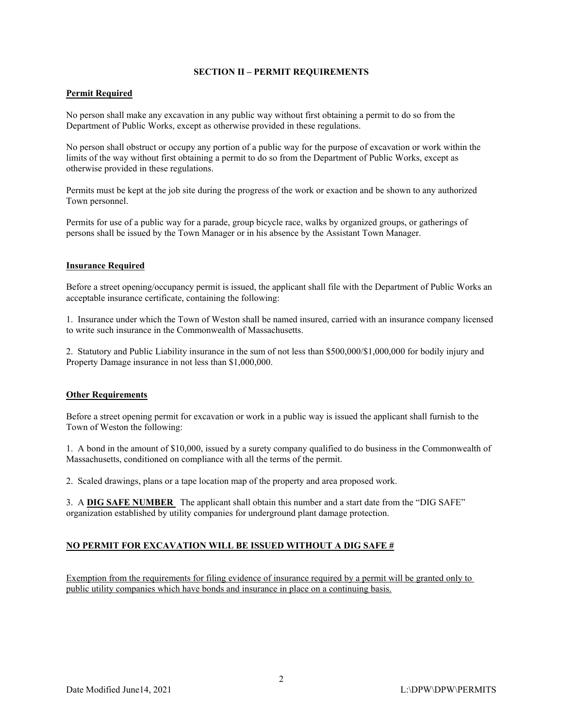## **SECTION II – PERMIT REQUIREMENTS**

# **Permit Required**

No person shall make any excavation in any public way without first obtaining a permit to do so from the Department of Public Works, except as otherwise provided in these regulations.

No person shall obstruct or occupy any portion of a public way for the purpose of excavation or work within the limits of the way without first obtaining a permit to do so from the Department of Public Works, except as otherwise provided in these regulations.

Permits must be kept at the job site during the progress of the work or exaction and be shown to any authorized Town personnel.

Permits for use of a public way for a parade, group bicycle race, walks by organized groups, or gatherings of persons shall be issued by the Town Manager or in his absence by the Assistant Town Manager.

# **Insurance Required**

Before a street opening/occupancy permit is issued, the applicant shall file with the Department of Public Works an acceptable insurance certificate, containing the following:

1. Insurance under which the Town of Weston shall be named insured, carried with an insurance company licensed to write such insurance in the Commonwealth of Massachusetts.

2. Statutory and Public Liability insurance in the sum of not less than \$500,000/\$1,000,000 for bodily injury and Property Damage insurance in not less than \$1,000,000.

# **Other Requirements**

Before a street opening permit for excavation or work in a public way is issued the applicant shall furnish to the Town of Weston the following:

1. A bond in the amount of \$10,000, issued by a surety company qualified to do business in the Commonwealth of Massachusetts, conditioned on compliance with all the terms of the permit.

2. Scaled drawings, plans or a tape location map of the property and area proposed work.

3. A **DIG SAFE NUMBER** The applicant shall obtain this number and a start date from the "DIG SAFE" organization established by utility companies for underground plant damage protection.

# **NO PERMIT FOR EXCAVATION WILL BE ISSUED WITHOUT A DIG SAFE #**

Exemption from the requirements for filing evidence of insurance required by a permit will be granted only to public utility companies which have bonds and insurance in place on a continuing basis.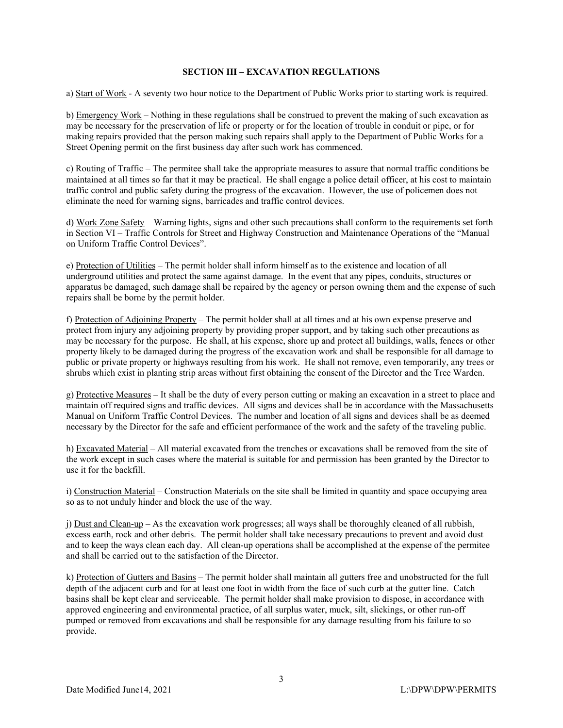## **SECTION III – EXCAVATION REGULATIONS**

a) Start of Work - A seventy two hour notice to the Department of Public Works prior to starting work is required.

b) Emergency Work – Nothing in these regulations shall be construed to prevent the making of such excavation as may be necessary for the preservation of life or property or for the location of trouble in conduit or pipe, or for making repairs provided that the person making such repairs shall apply to the Department of Public Works for a Street Opening permit on the first business day after such work has commenced.

c) Routing of Traffic – The permitee shall take the appropriate measures to assure that normal traffic conditions be maintained at all times so far that it may be practical. He shall engage a police detail officer, at his cost to maintain traffic control and public safety during the progress of the excavation. However, the use of policemen does not eliminate the need for warning signs, barricades and traffic control devices.

d) Work Zone Safety – Warning lights, signs and other such precautions shall conform to the requirements set forth in Section VI – Traffic Controls for Street and Highway Construction and Maintenance Operations of the "Manual on Uniform Traffic Control Devices".

e) Protection of Utilities – The permit holder shall inform himself as to the existence and location of all underground utilities and protect the same against damage. In the event that any pipes, conduits, structures or apparatus be damaged, such damage shall be repaired by the agency or person owning them and the expense of such repairs shall be borne by the permit holder.

f) Protection of Adjoining Property – The permit holder shall at all times and at his own expense preserve and protect from injury any adjoining property by providing proper support, and by taking such other precautions as may be necessary for the purpose. He shall, at his expense, shore up and protect all buildings, walls, fences or other property likely to be damaged during the progress of the excavation work and shall be responsible for all damage to public or private property or highways resulting from his work. He shall not remove, even temporarily, any trees or shrubs which exist in planting strip areas without first obtaining the consent of the Director and the Tree Warden.

g) Protective Measures – It shall be the duty of every person cutting or making an excavation in a street to place and maintain off required signs and traffic devices. All signs and devices shall be in accordance with the Massachusetts Manual on Uniform Traffic Control Devices. The number and location of all signs and devices shall be as deemed necessary by the Director for the safe and efficient performance of the work and the safety of the traveling public.

h) Excavated Material – All material excavated from the trenches or excavations shall be removed from the site of the work except in such cases where the material is suitable for and permission has been granted by the Director to use it for the backfill.

i) Construction Material – Construction Materials on the site shall be limited in quantity and space occupying area so as to not unduly hinder and block the use of the way.

j) Dust and Clean-up – As the excavation work progresses; all ways shall be thoroughly cleaned of all rubbish, excess earth, rock and other debris. The permit holder shall take necessary precautions to prevent and avoid dust and to keep the ways clean each day. All clean-up operations shall be accomplished at the expense of the permitee and shall be carried out to the satisfaction of the Director.

k) Protection of Gutters and Basins – The permit holder shall maintain all gutters free and unobstructed for the full depth of the adjacent curb and for at least one foot in width from the face of such curb at the gutter line. Catch basins shall be kept clear and serviceable. The permit holder shall make provision to dispose, in accordance with approved engineering and environmental practice, of all surplus water, muck, silt, slickings, or other run-off pumped or removed from excavations and shall be responsible for any damage resulting from his failure to so provide.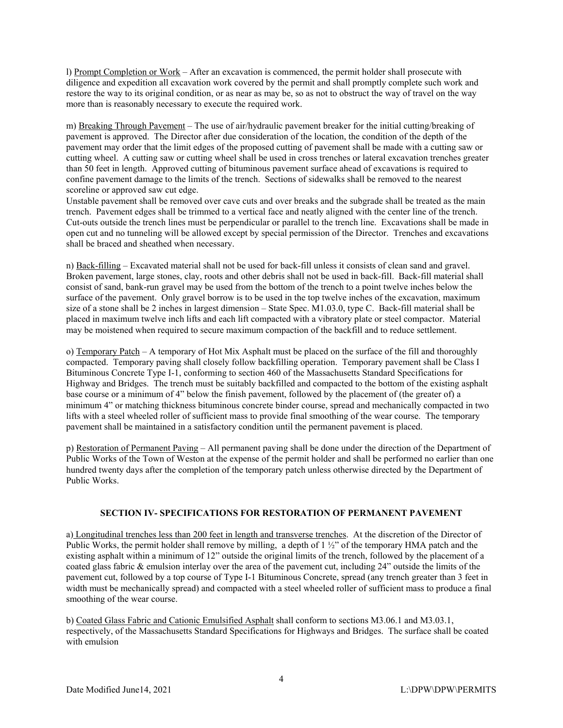l) Prompt Completion or Work – After an excavation is commenced, the permit holder shall prosecute with diligence and expedition all excavation work covered by the permit and shall promptly complete such work and restore the way to its original condition, or as near as may be, so as not to obstruct the way of travel on the way more than is reasonably necessary to execute the required work.

m) Breaking Through Pavement – The use of air/hydraulic pavement breaker for the initial cutting/breaking of pavement is approved. The Director after due consideration of the location, the condition of the depth of the pavement may order that the limit edges of the proposed cutting of pavement shall be made with a cutting saw or cutting wheel. A cutting saw or cutting wheel shall be used in cross trenches or lateral excavation trenches greater than 50 feet in length. Approved cutting of bituminous pavement surface ahead of excavations is required to confine pavement damage to the limits of the trench. Sections of sidewalks shall be removed to the nearest scoreline or approved saw cut edge.

Unstable pavement shall be removed over cave cuts and over breaks and the subgrade shall be treated as the main trench. Pavement edges shall be trimmed to a vertical face and neatly aligned with the center line of the trench. Cut-outs outside the trench lines must be perpendicular or parallel to the trench line. Excavations shall be made in open cut and no tunneling will be allowed except by special permission of the Director. Trenches and excavations shall be braced and sheathed when necessary.

n) Back-filling – Excavated material shall not be used for back-fill unless it consists of clean sand and gravel. Broken pavement, large stones, clay, roots and other debris shall not be used in back-fill. Back-fill material shall consist of sand, bank-run gravel may be used from the bottom of the trench to a point twelve inches below the surface of the pavement. Only gravel borrow is to be used in the top twelve inches of the excavation, maximum size of a stone shall be 2 inches in largest dimension – State Spec. M1.03.0, type C. Back-fill material shall be placed in maximum twelve inch lifts and each lift compacted with a vibratory plate or steel compactor. Material may be moistened when required to secure maximum compaction of the backfill and to reduce settlement.

o) Temporary Patch – A temporary of Hot Mix Asphalt must be placed on the surface of the fill and thoroughly compacted. Temporary paving shall closely follow backfilling operation. Temporary pavement shall be Class I Bituminous Concrete Type I-1, conforming to section 460 of the Massachusetts Standard Specifications for Highway and Bridges. The trench must be suitably backfilled and compacted to the bottom of the existing asphalt base course or a minimum of 4" below the finish pavement, followed by the placement of (the greater of) a minimum 4" or matching thickness bituminous concrete binder course, spread and mechanically compacted in two lifts with a steel wheeled roller of sufficient mass to provide final smoothing of the wear course. The temporary pavement shall be maintained in a satisfactory condition until the permanent pavement is placed.

p) Restoration of Permanent Paving – All permanent paving shall be done under the direction of the Department of Public Works of the Town of Weston at the expense of the permit holder and shall be performed no earlier than one hundred twenty days after the completion of the temporary patch unless otherwise directed by the Department of Public Works.

# **SECTION IV- SPECIFICATIONS FOR RESTORATION OF PERMANENT PAVEMENT**

a) Longitudinal trenches less than 200 feet in length and transverse trenches. At the discretion of the Director of Public Works, the permit holder shall remove by milling, a depth of 1 ½" of the temporary HMA patch and the existing asphalt within a minimum of 12" outside the original limits of the trench, followed by the placement of a coated glass fabric & emulsion interlay over the area of the pavement cut, including 24" outside the limits of the pavement cut, followed by a top course of Type I-1 Bituminous Concrete, spread (any trench greater than 3 feet in width must be mechanically spread) and compacted with a steel wheeled roller of sufficient mass to produce a final smoothing of the wear course.

b) Coated Glass Fabric and Cationic Emulsified Asphalt shall conform to sections M3.06.1 and M3.03.1, respectively, of the Massachusetts Standard Specifications for Highways and Bridges. The surface shall be coated with emulsion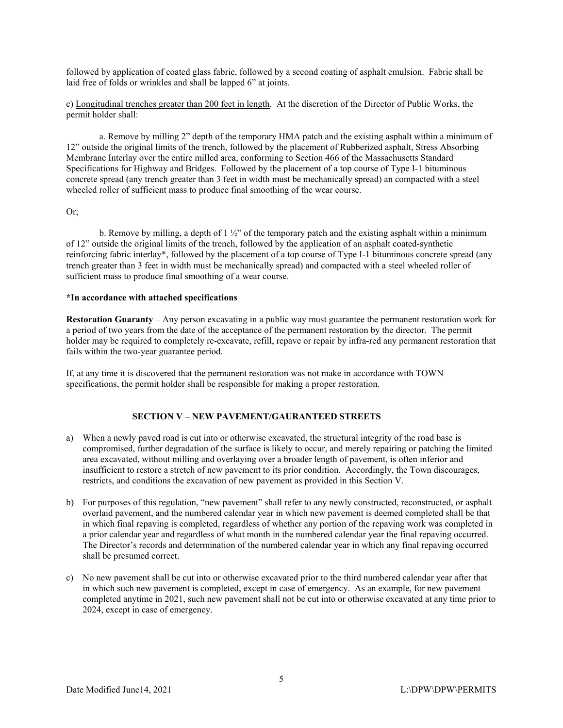followed by application of coated glass fabric, followed by a second coating of asphalt emulsion. Fabric shall be laid free of folds or wrinkles and shall be lapped 6" at joints.

c) Longitudinal trenches greater than 200 feet in length. At the discretion of the Director of Public Works, the permit holder shall:

a. Remove by milling 2" depth of the temporary HMA patch and the existing asphalt within a minimum of 12" outside the original limits of the trench, followed by the placement of Rubberized asphalt, Stress Absorbing Membrane Interlay over the entire milled area, conforming to Section 466 of the Massachusetts Standard Specifications for Highway and Bridges. Followed by the placement of a top course of Type I-1 bituminous concrete spread (any trench greater than 3 feet in width must be mechanically spread) an compacted with a steel wheeled roller of sufficient mass to produce final smoothing of the wear course.

## Or;

b. Remove by milling, a depth of 1 ½" of the temporary patch and the existing asphalt within a minimum of 12" outside the original limits of the trench, followed by the application of an asphalt coated-synthetic reinforcing fabric interlay\*, followed by the placement of a top course of Type I-1 bituminous concrete spread (any trench greater than 3 feet in width must be mechanically spread) and compacted with a steel wheeled roller of sufficient mass to produce final smoothing of a wear course.

### **\*In accordance with attached specifications**

**Restoration Guaranty** – Any person excavating in a public way must guarantee the permanent restoration work for a period of two years from the date of the acceptance of the permanent restoration by the director. The permit holder may be required to completely re-excavate, refill, repave or repair by infra-red any permanent restoration that fails within the two-year guarantee period.

If, at any time it is discovered that the permanent restoration was not make in accordance with TOWN specifications, the permit holder shall be responsible for making a proper restoration.

#### **SECTION V – NEW PAVEMENT/GAURANTEED STREETS**

- a) When a newly paved road is cut into or otherwise excavated, the structural integrity of the road base is compromised, further degradation of the surface is likely to occur, and merely repairing or patching the limited area excavated, without milling and overlaying over a broader length of pavement, is often inferior and insufficient to restore a stretch of new pavement to its prior condition. Accordingly, the Town discourages, restricts, and conditions the excavation of new pavement as provided in this Section V.
- b) For purposes of this regulation, "new pavement" shall refer to any newly constructed, reconstructed, or asphalt overlaid pavement, and the numbered calendar year in which new pavement is deemed completed shall be that in which final repaving is completed, regardless of whether any portion of the repaving work was completed in a prior calendar year and regardless of what month in the numbered calendar year the final repaving occurred. The Director's records and determination of the numbered calendar year in which any final repaving occurred shall be presumed correct.
- c) No new pavement shall be cut into or otherwise excavated prior to the third numbered calendar year after that in which such new pavement is completed, except in case of emergency. As an example, for new pavement completed anytime in 2021, such new pavement shall not be cut into or otherwise excavated at any time prior to 2024, except in case of emergency.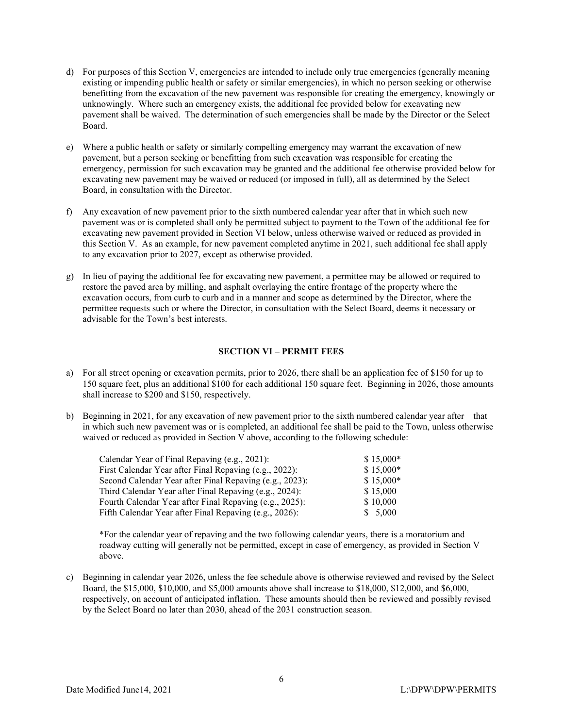- d) For purposes of this Section V, emergencies are intended to include only true emergencies (generally meaning existing or impending public health or safety or similar emergencies), in which no person seeking or otherwise benefitting from the excavation of the new pavement was responsible for creating the emergency, knowingly or unknowingly. Where such an emergency exists, the additional fee provided below for excavating new pavement shall be waived. The determination of such emergencies shall be made by the Director or the Select Board.
- e) Where a public health or safety or similarly compelling emergency may warrant the excavation of new pavement, but a person seeking or benefitting from such excavation was responsible for creating the emergency, permission for such excavation may be granted and the additional fee otherwise provided below for excavating new pavement may be waived or reduced (or imposed in full), all as determined by the Select Board, in consultation with the Director.
- f) Any excavation of new pavement prior to the sixth numbered calendar year after that in which such new pavement was or is completed shall only be permitted subject to payment to the Town of the additional fee for excavating new pavement provided in Section VI below, unless otherwise waived or reduced as provided in this Section V. As an example, for new pavement completed anytime in 2021, such additional fee shall apply to any excavation prior to 2027, except as otherwise provided.
- g) In lieu of paying the additional fee for excavating new pavement, a permittee may be allowed or required to restore the paved area by milling, and asphalt overlaying the entire frontage of the property where the excavation occurs, from curb to curb and in a manner and scope as determined by the Director, where the permittee requests such or where the Director, in consultation with the Select Board, deems it necessary or advisable for the Town's best interests.

# **SECTION VI – PERMIT FEES**

- a) For all street opening or excavation permits, prior to 2026, there shall be an application fee of \$150 for up to 150 square feet, plus an additional \$100 for each additional 150 square feet. Beginning in 2026, those amounts shall increase to \$200 and \$150, respectively.
- b) Beginning in 2021, for any excavation of new pavement prior to the sixth numbered calendar year after that in which such new pavement was or is completed, an additional fee shall be paid to the Town, unless otherwise waived or reduced as provided in Section V above, according to the following schedule:

| $$15,000*$ |
|------------|
| $$15,000*$ |
| $$15,000*$ |
| \$15,000   |
| \$10,000   |
| \$5,000    |
|            |

\*For the calendar year of repaving and the two following calendar years, there is a moratorium and roadway cutting will generally not be permitted, except in case of emergency, as provided in Section V above.

c) Beginning in calendar year 2026, unless the fee schedule above is otherwise reviewed and revised by the Select Board, the \$15,000, \$10,000, and \$5,000 amounts above shall increase to \$18,000, \$12,000, and \$6,000, respectively, on account of anticipated inflation. These amounts should then be reviewed and possibly revised by the Select Board no later than 2030, ahead of the 2031 construction season.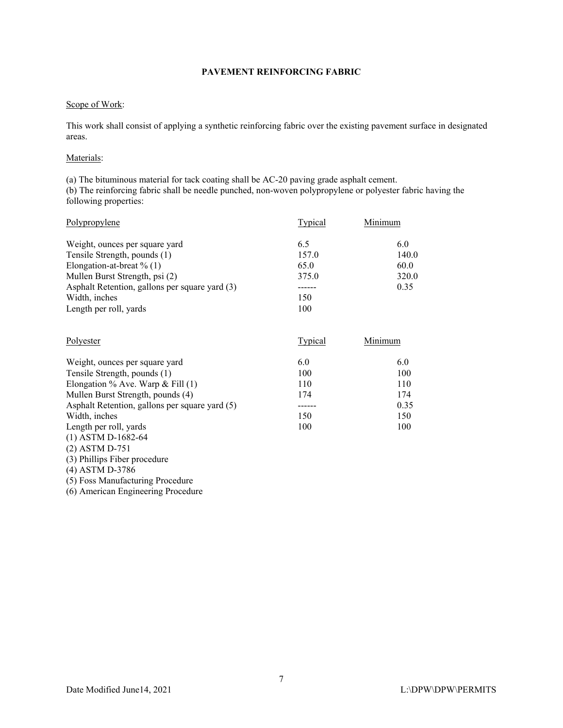# **PAVEMENT REINFORCING FABRIC**

## Scope of Work:

This work shall consist of applying a synthetic reinforcing fabric over the existing pavement surface in designated areas.

## Materials:

(a) The bituminous material for tack coating shall be AC-20 paving grade asphalt cement. (b) The reinforcing fabric shall be needle punched, non-woven polypropylene or polyester fabric having the following properties:

| Polypropylene                                  | Typical | Minimum |
|------------------------------------------------|---------|---------|
| Weight, ounces per square yard                 | 6.5     | 6.0     |
| Tensile Strength, pounds (1)                   | 157.0   | 140.0   |
| Elongation-at-breat $\%$ (1)                   | 65.0    | 60.0    |
| Mullen Burst Strength, psi (2)                 | 375.0   | 320.0   |
| Asphalt Retention, gallons per square yard (3) |         | 0.35    |
| Width, inches                                  | 150     |         |
| Length per roll, yards                         | 100     |         |

| Polyester                                      | Typical | Minimum |
|------------------------------------------------|---------|---------|
| Weight, ounces per square yard                 | 6.0     | 6.0     |
| Tensile Strength, pounds (1)                   | 100     | 100     |
| Elongation % Ave. Warp & Fill $(1)$            | 110     | 110     |
| Mullen Burst Strength, pounds (4)              | 174     | 174     |
| Asphalt Retention, gallons per square yard (5) |         | 0.35    |
| Width, inches                                  | 150     | 150     |
| Length per roll, yards<br>$(1)$ ASTM D-1682-64 | 100     | 100     |

- (2) ASTM D-751 (3) Phillips Fiber procedure
- (4) ASTM D-3786
- (5) Foss Manufacturing Procedure

(6) American Engineering Procedure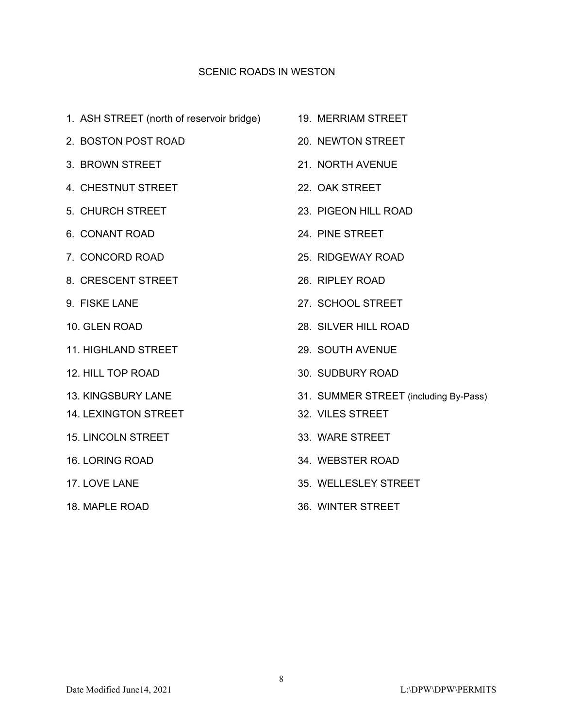# SCENIC ROADS IN WESTON

- 1. ASH STREET (north of reservoir bridge) 19. MERRIAM STREET
- 2. BOSTON POST ROAD 20. NEWTON STREET
- 3. BROWN STREET 21. NORTH AVENUE
- 4. CHESTNUT STREET 22. OAK STREET
- 
- 
- 
- 8. CRESCENT STREET 26. RIPLEY ROAD
- 
- 
- 11. HIGHLAND STREET 29. SOUTH AVENUE
- 
- 
- 14. LEXINGTON STREET 32. VILES STREET
- 15. LINCOLN STREET 33. WARE STREET
- 
- 
- 
- 
- 
- 
- 
- 5. CHURCH STREET 23. PIGEON HILL ROAD
- 6. CONANT ROAD 24. PINE STREET
- 7. CONCORD ROAD 25. RIDGEWAY ROAD
	-
- 9. FISKE LANE 27. SCHOOL STREET
- 10. GLEN ROAD 28. SILVER HILL ROAD
	-
- 12. HILL TOP ROAD 30. SUDBURY ROAD
- 13. KINGSBURY LANE 31. SUMMER STREET (including By-Pass)
	-
	-
- 16. LORING ROAD 34. WEBSTER ROAD
- 17. LOVE LANE 1. 2008 1. 2009 1. 2010 1. 35. WELLESLEY STREET
- 18. MAPLE ROAD 36. WINTER STREET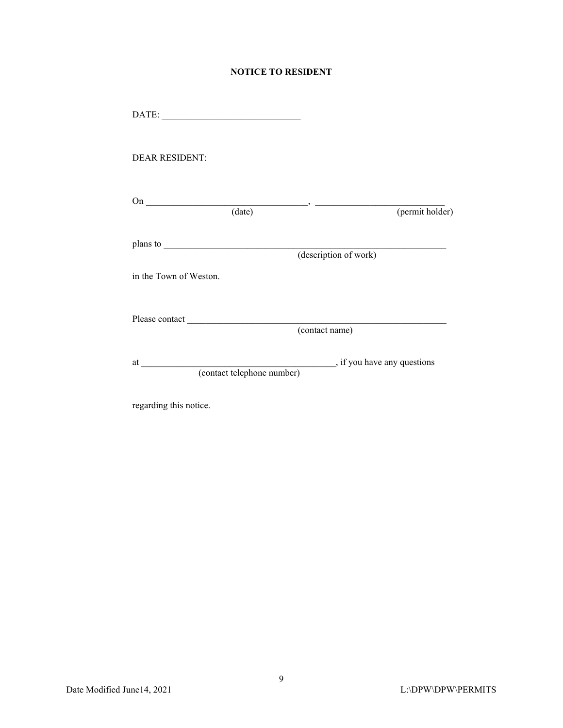# **NOTICE TO RESIDENT**

| DATE:                  |                                                                   |
|------------------------|-------------------------------------------------------------------|
| <b>DEAR RESIDENT:</b>  |                                                                   |
|                        | On $\qquad \qquad (date)$ (per<br>(permit holder)                 |
|                        | (description of work)                                             |
| in the Town of Weston. |                                                                   |
|                        | (contact name)                                                    |
|                        | ________, if you have any questions<br>(contact telephone number) |
| regarding this notice. |                                                                   |